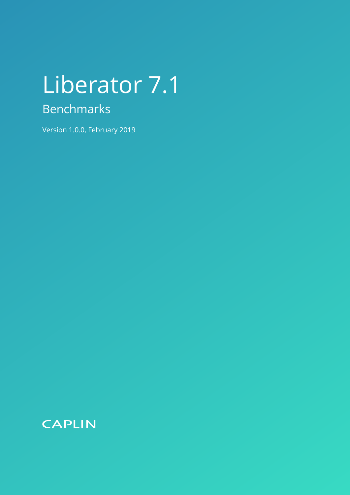# Liberator 7.1 Benchmarks

Version 1.0.0, February 2019

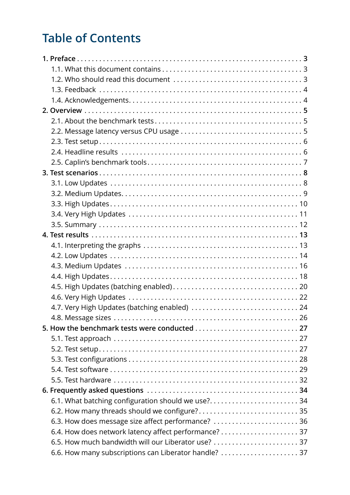# **Table of Contents**

| 4.7. Very High Updates (batching enabled)  24         |  |
|-------------------------------------------------------|--|
|                                                       |  |
|                                                       |  |
|                                                       |  |
|                                                       |  |
|                                                       |  |
|                                                       |  |
|                                                       |  |
|                                                       |  |
| 6.1. What batching configuration should we use? 34    |  |
|                                                       |  |
| 6.3. How does message size affect performance?  36    |  |
|                                                       |  |
| 6.5. How much bandwidth will our Liberator use?  37   |  |
| 6.6. How many subscriptions can Liberator handle?  37 |  |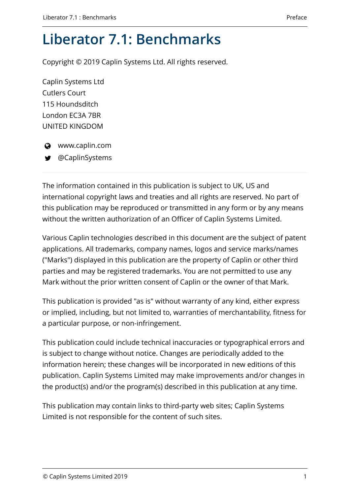# **Liberator 7.1: Benchmarks**

Copyright © 2019 Caplin Systems Ltd. All rights reserved.

Caplin Systems Ltd Cutlers Court 115 Houndsditch London EC3A 7BR UNITED KINGDOM



 $\odot$  www.caplin.com

@CaplinSystems

The information contained in this publication is subject to UK, US and international copyright laws and treaties and all rights are reserved. No part of this publication may be reproduced or transmitted in any form or by any means without the written authorization of an Officer of Caplin Systems Limited.

Various Caplin technologies described in this document are the subject of patent applications. All trademarks, company names, logos and service marks/names ("Marks") displayed in this publication are the property of Caplin or other third parties and may be registered trademarks. You are not permitted to use any Mark without the prior written consent of Caplin or the owner of that Mark.

This publication is provided "as is" without warranty of any kind, either express or implied, including, but not limited to, warranties of merchantability, fitness for a particular purpose, or non-infringement.

This publication could include technical inaccuracies or typographical errors and is subject to change without notice. Changes are periodically added to the information herein; these changes will be incorporated in new editions of this publication. Caplin Systems Limited may make improvements and/or changes in the product(s) and/or the program(s) described in this publication at any time.

This publication may contain links to third-party web sites; Caplin Systems Limited is not responsible for the content of such sites.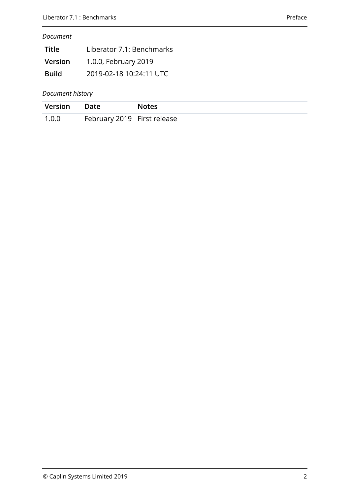#### *Document*

| Title        | Liberator 7.1: Benchmarks |
|--------------|---------------------------|
| Version      | 1.0.0, February 2019      |
| <b>Build</b> | 2019-02-18 10:24:11 UTC   |

#### *Document history*

| Version | Date                        | Notes |
|---------|-----------------------------|-------|
| 1.0.0   | February 2019 First release |       |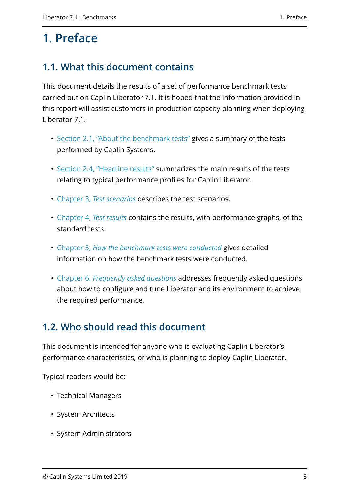# <span id="page-5-0"></span>**1. Preface**

# <span id="page-5-1"></span>**1.1. What this document contains**

This document details the results of a set of performance benchmark tests carried out on Caplin Liberator 7.1. It is hoped that the information provided in this report will assist customers in production capacity planning when deploying Liberator 7.1.

- [Section 2.1, "About the benchmark tests"](#page-7-1) gives a summary of the tests performed by Caplin Systems.
- [Section 2.4, "Headline results"](#page-8-1) summarizes the main results of the tests relating to typical performance profiles for Caplin Liberator.
- [Chapter 3,](#page-10-0) *[Test scenarios](#page-10-0)* describes the test scenarios.
- [Chapter 4,](#page-15-0) *[Test results](#page-15-0)* contains the results, with performance graphs, of the standard tests.
- [Chapter 5,](#page-29-0) *[How the benchmark tests were conducted](#page-29-0)* gives detailed information on how the benchmark tests were conducted.
- [Chapter 6,](#page-36-0) *[Frequently asked questions](#page-36-0)* addresses frequently asked questions about how to configure and tune Liberator and its environment to achieve the required performance.

# <span id="page-5-2"></span>**1.2. Who should read this document**

This document is intended for anyone who is evaluating Caplin Liberator's performance characteristics, or who is planning to deploy Caplin Liberator.

Typical readers would be:

- Technical Managers
- System Architects
- System Administrators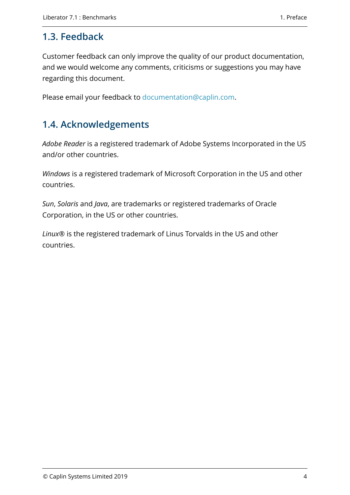### <span id="page-6-0"></span>**1.3. Feedback**

Customer feedback can only improve the quality of our product documentation, and we would welcome any comments, criticisms or suggestions you may have regarding this document.

Please email your feedback to [documentation@caplin.com](mailto:documentation@caplin.com).

# <span id="page-6-1"></span>**1.4. Acknowledgements**

*Adobe Reader* is a registered trademark of Adobe Systems Incorporated in the US and/or other countries.

*Windows* is a registered trademark of Microsoft Corporation in the US and other countries.

*Sun*, *Solaris* and *Java*, are trademarks or registered trademarks of Oracle Corporation, in the US or other countries.

*Linux*® is the registered trademark of Linus Torvalds in the US and other countries.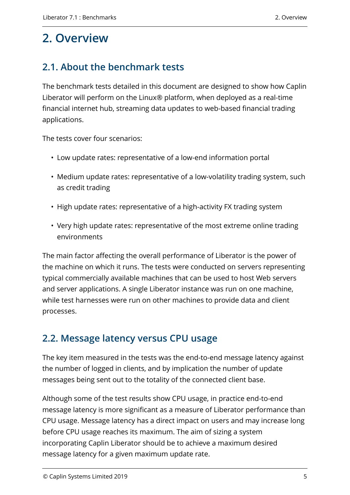# <span id="page-7-0"></span>**2. Overview**

# <span id="page-7-1"></span>**2.1. About the benchmark tests**

The benchmark tests detailed in this document are designed to show how Caplin Liberator will perform on the Linux® platform, when deployed as a real-time financial internet hub, streaming data updates to web-based financial trading applications.

The tests cover four scenarios:

- Low update rates: representative of a low-end information portal
- Medium update rates: representative of a low-volatility trading system, such as credit trading
- High update rates: representative of a high-activity FX trading system
- Very high update rates: representative of the most extreme online trading environments

The main factor affecting the overall performance of Liberator is the power of the machine on which it runs. The tests were conducted on servers representing typical commercially available machines that can be used to host Web servers and server applications. A single Liberator instance was run on one machine, while test harnesses were run on other machines to provide data and client processes.

# <span id="page-7-2"></span>**2.2. Message latency versus CPU usage**

The key item measured in the tests was the end-to-end message latency against the number of logged in clients, and by implication the number of update messages being sent out to the totality of the connected client base.

Although some of the test results show CPU usage, in practice end-to-end message latency is more significant as a measure of Liberator performance than CPU usage. Message latency has a direct impact on users and may increase long before CPU usage reaches its maximum. The aim of sizing a system incorporating Caplin Liberator should be to achieve a maximum desired message latency for a given maximum update rate.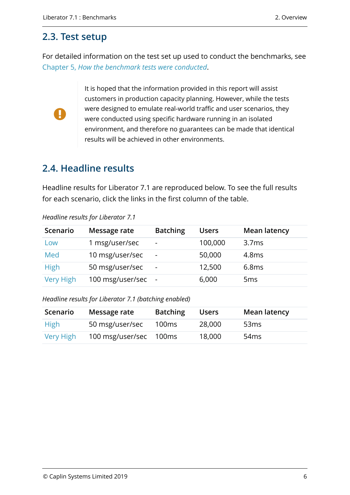### <span id="page-8-0"></span>**2.3. Test setup**

For detailed information on the test set up used to conduct the benchmarks, see [Chapter 5,](#page-29-0) *[How the benchmark tests were conducted](#page-29-0)*.



It is hoped that the information provided in this report will assist customers in production capacity planning. However, while the tests were designed to emulate real-world traffic and user scenarios, they were conducted using specific hardware running in an isolated environment, and therefore no guarantees can be made that identical results will be achieved in other environments.

# <span id="page-8-1"></span>**2.4. Headline results**

Headline results for Liberator 7.1 are reproduced below. To see the full results for each scenario, click the links in the first column of the table.

| Scenario         | Message rate     | <b>Batching</b>          | <b>Users</b> | <b>Mean latency</b> |
|------------------|------------------|--------------------------|--------------|---------------------|
| Low              | 1 msg/user/sec   | $\overline{\phantom{a}}$ | 100,000      | 3.7 <sub>ms</sub>   |
| Med              | 10 msg/user/sec  | $\blacksquare$           | 50,000       | 4.8ms               |
| <b>High</b>      | 50 msg/user/sec  | ٠                        | 12,500       | 6.8ms               |
| <b>Very High</b> | 100 msg/user/sec |                          | 6,000        | 5 <sub>ms</sub>     |

*Headline results for Liberator 7.1*

*Headline results for Liberator 7.1 (batching enabled)*

| Scenario  | Message rate     | <b>Batching</b> | <b>Users</b> | <b>Mean latency</b> |
|-----------|------------------|-----------------|--------------|---------------------|
| High      | 50 msg/user/sec  | 100ms           | 28,000       | 53 <sub>ms</sub>    |
| Very High | 100 msg/user/sec | 100ms           | 18,000       | 54 <sub>ms</sub>    |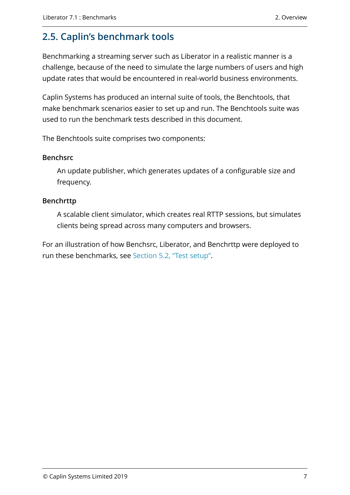# <span id="page-9-0"></span>**2.5. Caplin's benchmark tools**

Benchmarking a streaming server such as Liberator in a realistic manner is a challenge, because of the need to simulate the large numbers of users and high update rates that would be encountered in real-world business environments.

Caplin Systems has produced an internal suite of tools, the Benchtools, that make benchmark scenarios easier to set up and run. The Benchtools suite was used to run the benchmark tests described in this document.

The Benchtools suite comprises two components:

#### **Benchsrc**

An update publisher, which generates updates of a configurable size and frequency.

#### **Benchrttp**

A scalable client simulator, which creates real RTTP sessions, but simulates clients being spread across many computers and browsers.

For an illustration of how Benchsrc, Liberator, and Benchrttp were deployed to run these benchmarks, see [Section 5.2, "Test setup".](#page-29-2)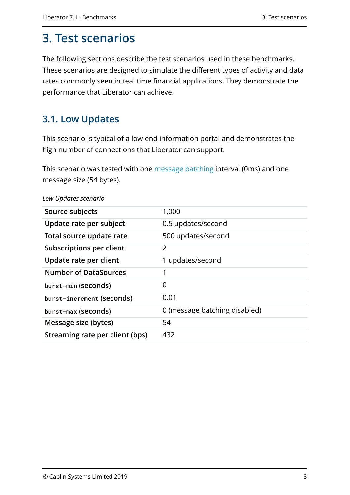# <span id="page-10-0"></span>**3. Test scenarios**

The following sections describe the test scenarios used in these benchmarks. These scenarios are designed to simulate the different types of activity and data rates commonly seen in real time financial applications. They demonstrate the performance that Liberator can achieve.

## <span id="page-10-1"></span>**3.1. Low Updates**

This scenario is typical of a low-end information portal and demonstrates the high number of connections that Liberator can support.

This scenario was tested with one [message batching](https://www.caplin.com/developer/caplin-platform/liberator/liberator-bursting) interval (0ms) and one message size (54 bytes).

| Source subjects                 | 1,000                         |
|---------------------------------|-------------------------------|
| Update rate per subject         | 0.5 updates/second            |
| Total source update rate        | 500 updates/second            |
| <b>Subscriptions per client</b> | $\overline{2}$                |
| Update rate per client          | 1 updates/second              |
| <b>Number of DataSources</b>    | 1                             |
| burst-min (seconds)             | 0                             |
| burst-increment (seconds)       | 0.01                          |
| burst-max (seconds)             | 0 (message batching disabled) |
| Message size (bytes)            | 54                            |
| Streaming rate per client (bps) | 432                           |
|                                 |                               |

*Low Updates scenario*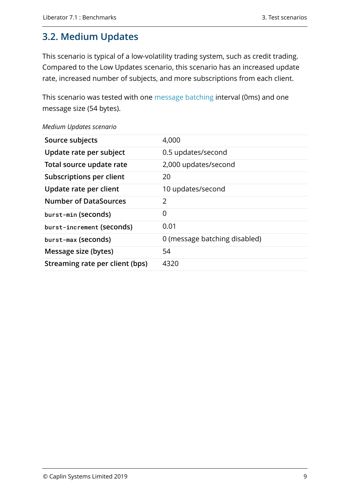# <span id="page-11-0"></span>**3.2. Medium Updates**

This scenario is typical of a low-volatility trading system, such as credit trading. Compared to the Low Updates scenario, this scenario has an increased update rate, increased number of subjects, and more subscriptions from each client.

This scenario was tested with one [message batching](https://www.caplin.com/developer/caplin-platform/liberator/liberator-bursting) interval (0ms) and one message size (54 bytes).

| Source subjects                 | 4,000                         |
|---------------------------------|-------------------------------|
| Update rate per subject         | 0.5 updates/second            |
| Total source update rate        | 2,000 updates/second          |
| Subscriptions per client        | 20                            |
| Update rate per client          | 10 updates/second             |
| <b>Number of DataSources</b>    | $\overline{2}$                |
| burst-min (seconds)             | 0                             |
| burst-increment (seconds)       | 0.01                          |
| burst-max (seconds)             | 0 (message batching disabled) |
| Message size (bytes)            | 54                            |
| Streaming rate per client (bps) | 4320                          |

*Medium Updates scenario*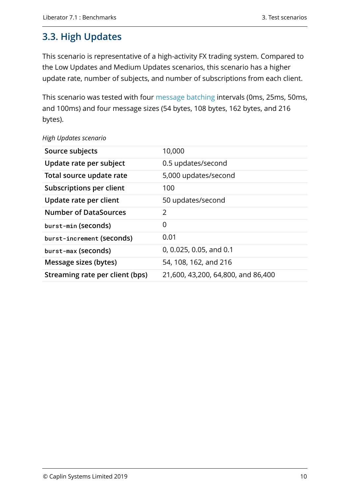# <span id="page-12-0"></span>**3.3. High Updates**

This scenario is representative of a high-activity FX trading system. Compared to the Low Updates and Medium Updates scenarios, this scenario has a higher update rate, number of subjects, and number of subscriptions from each client.

This scenario was tested with four [message batching](https://www.caplin.com/developer/caplin-platform/liberator/liberator-bursting) intervals (0ms, 25ms, 50ms, and 100ms) and four message sizes (54 bytes, 108 bytes, 162 bytes, and 216 bytes).

| Source subjects                 | 10,000                             |
|---------------------------------|------------------------------------|
| Update rate per subject         | 0.5 updates/second                 |
| Total source update rate        | 5,000 updates/second               |
| <b>Subscriptions per client</b> | 100                                |
| Update rate per client          | 50 updates/second                  |
| <b>Number of DataSources</b>    | 2                                  |
| burst-min (seconds)             | 0                                  |
| burst-increment (seconds)       | 0.01                               |
| burst-max (seconds)             | 0, 0.025, 0.05, and 0.1            |
| Message sizes (bytes)           | 54, 108, 162, and 216              |
| Streaming rate per client (bps) | 21,600, 43,200, 64,800, and 86,400 |

#### *High Updates scenario*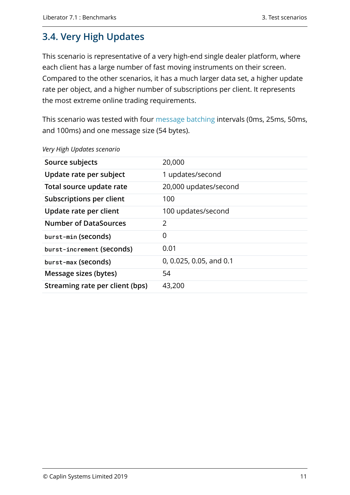# <span id="page-13-0"></span>**3.4. Very High Updates**

This scenario is representative of a very high-end single dealer platform, where each client has a large number of fast moving instruments on their screen. Compared to the other scenarios, it has a much larger data set, a higher update rate per object, and a higher number of subscriptions per client. It represents the most extreme online trading requirements.

This scenario was tested with four [message batching](https://www.caplin.com/developer/caplin-platform/liberator/liberator-bursting) intervals (0ms, 25ms, 50ms, and 100ms) and one message size (54 bytes).

| Source subjects                 | 20,000                  |
|---------------------------------|-------------------------|
| Update rate per subject         | 1 updates/second        |
| Total source update rate        | 20,000 updates/second   |
| <b>Subscriptions per client</b> | 100                     |
| Update rate per client          | 100 updates/second      |
| <b>Number of DataSources</b>    | 2                       |
| burst-min (seconds)             | 0                       |
| burst-increment (seconds)       | 0.01                    |
| burst-max (seconds)             | 0, 0.025, 0.05, and 0.1 |
| Message sizes (bytes)           | 54                      |
| Streaming rate per client (bps) | 43,200                  |

#### *Very High Updates scenario*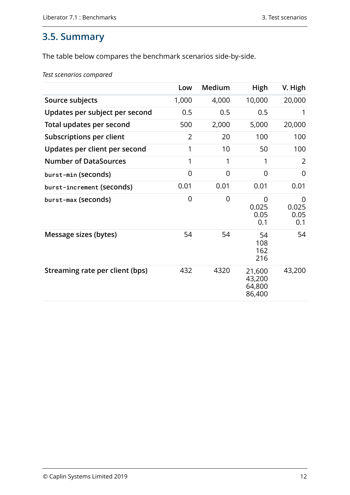## <span id="page-14-0"></span>**3.5. Summary**

The table below compares the benchmark scenarios side-by-side.

*Test scenarios compared*

|                                 | Low            | Medium         | High                                 | V. High                   |
|---------------------------------|----------------|----------------|--------------------------------------|---------------------------|
| Source subjects                 | 1,000          | 4,000          | 10,000                               | 20,000                    |
| Updates per subject per second  | 0.5            | 0.5            | 0.5                                  | 1                         |
| Total updates per second        | 500            | 2,000          | 5,000                                | 20,000                    |
| <b>Subscriptions per client</b> | $\overline{2}$ | 20             | 100                                  | 100                       |
| Updates per client per second   | 1              | 10             | 50                                   | 100                       |
| <b>Number of DataSources</b>    | 1              | 1              | 1                                    | 2                         |
| burst-min (seconds)             | 0              | 0              | $\Omega$                             | 0                         |
| burst-increment (seconds)       | 0.01           | 0.01           | 0.01                                 | 0.01                      |
| burst-max (seconds)             | $\overline{0}$ | $\overline{0}$ | 0<br>0.025<br>0.05<br>0.1            | 0<br>0.025<br>0.05<br>0.1 |
| Message sizes (bytes)           | 54             | 54             | 54<br>108<br>162<br>216              | 54                        |
| Streaming rate per client (bps) | 432            | 4320           | 21,600<br>43,200<br>64,800<br>86,400 | 43,200                    |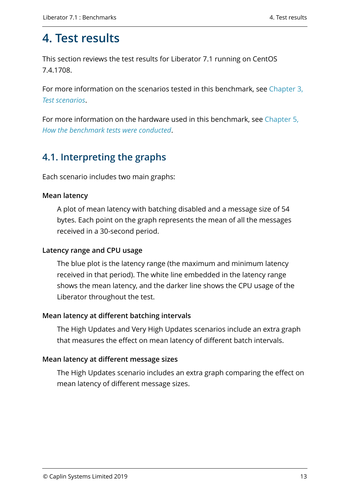# <span id="page-15-0"></span>**4. Test results**

This section reviews the test results for Liberator 7.1 running on CentOS 7.4.1708.

For more information on the scenarios tested in this benchmark, see [Chapter 3,](#page-10-0) *[Test scenarios](#page-10-0)*.

For more information on the hardware used in this benchmark, see [Chapter 5,](#page-29-0) *[How the benchmark tests were conducted](#page-29-0)*.

## <span id="page-15-1"></span>**4.1. Interpreting the graphs**

Each scenario includes two main graphs:

#### **Mean latency**

A plot of mean latency with batching disabled and a message size of 54 bytes. Each point on the graph represents the mean of all the messages received in a 30-second period.

#### **Latency range and CPU usage**

The blue plot is the latency range (the maximum and minimum latency received in that period). The white line embedded in the latency range shows the mean latency, and the darker line shows the CPU usage of the Liberator throughout the test.

#### **Mean latency at different batching intervals**

The High Updates and Very High Updates scenarios include an extra graph that measures the effect on mean latency of different batch intervals.

#### **Mean latency at different message sizes**

The High Updates scenario includes an extra graph comparing the effect on mean latency of different message sizes.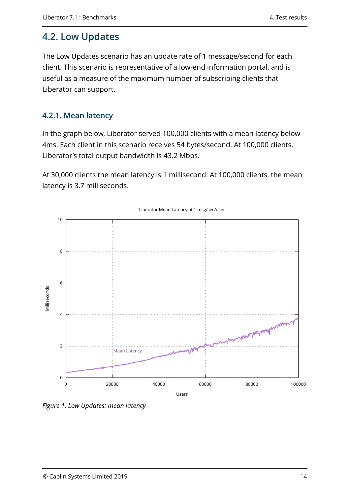## <span id="page-16-0"></span>**4.2. Low Updates**

The Low Updates scenario has an update rate of 1 message/second for each client. This scenario is representative of a low-end information portal, and is useful as a measure of the maximum number of subscribing clients that Liberator can support.

### **4.2.1. Mean latency**

In the graph below, Liberator served 100,000 clients with a mean latency below 4ms. Each client in this scenario receives 54 bytes/second. At 100,000 clients, Liberator's total output bandwidth is 43.2 Mbps.

At 30,000 clients the mean latency is 1 millisecond. At 100,000 clients, the mean latency is 3.7 milliseconds.



*Figure 1. Low Updates: mean latency*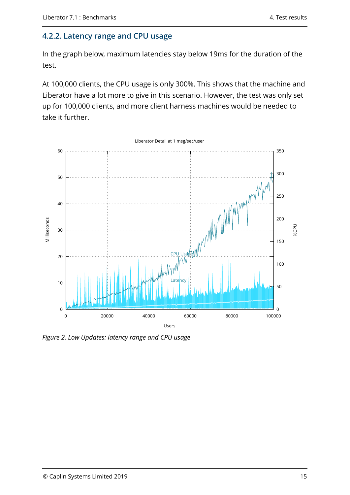### **4.2.2. Latency range and CPU usage**

In the graph below, maximum latencies stay below 19ms for the duration of the test.

At 100,000 clients, the CPU usage is only 300%. This shows that the machine and Liberator have a lot more to give in this scenario. However, the test was only set up for 100,000 clients, and more client harness machines would be needed to take it further.



*Figure 2. Low Updates: latency range and CPU usage*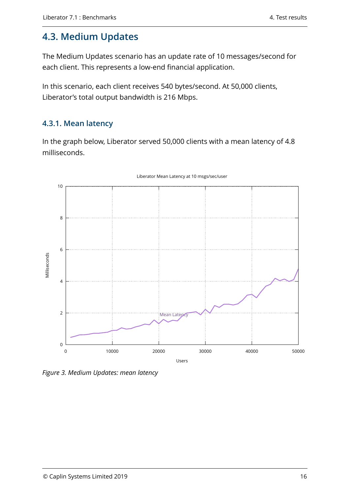# <span id="page-18-0"></span>**4.3. Medium Updates**

The Medium Updates scenario has an update rate of 10 messages/second for each client. This represents a low-end financial application.

In this scenario, each client receives 540 bytes/second. At 50,000 clients, Liberator's total output bandwidth is 216 Mbps.

### **4.3.1. Mean latency**

In the graph below, Liberator served 50,000 clients with a mean latency of 4.8 milliseconds.



#### Liberator Mean Latency at 10 msgs/sec/user

*Figure 3. Medium Updates: mean latency*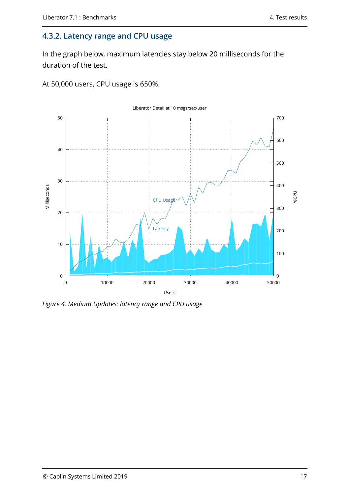#### **4.3.2. Latency range and CPU usage**

In the graph below, maximum latencies stay below 20 milliseconds for the duration of the test.

At 50,000 users, CPU usage is 650%.



*Figure 4. Medium Updates: latency range and CPU usage*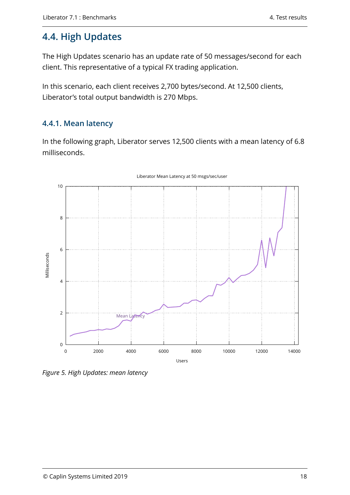# <span id="page-20-0"></span>**4.4. High Updates**

The High Updates scenario has an update rate of 50 messages/second for each client. This representative of a typical FX trading application.

In this scenario, each client receives 2,700 bytes/second. At 12,500 clients, Liberator's total output bandwidth is 270 Mbps.

### **4.4.1. Mean latency**

In the following graph, Liberator serves 12,500 clients with a mean latency of 6.8 milliseconds.



#### Liberator Mean Latency at 50 msgs/sec/user

*Figure 5. High Updates: mean latency*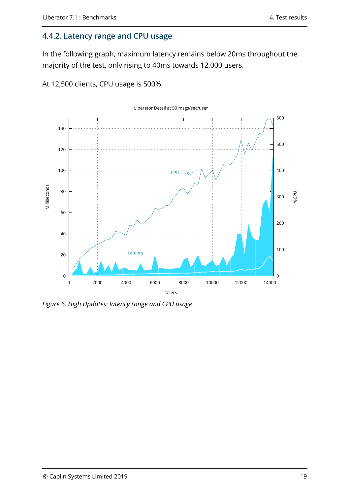#### **4.4.2. Latency range and CPU usage**

In the following graph, maximum latency remains below 20ms throughout the majority of the test, only rising to 40ms towards 12,000 users.

At 12,500 clients, CPU usage is 500%.



*Figure 6. High Updates: latency range and CPU usage*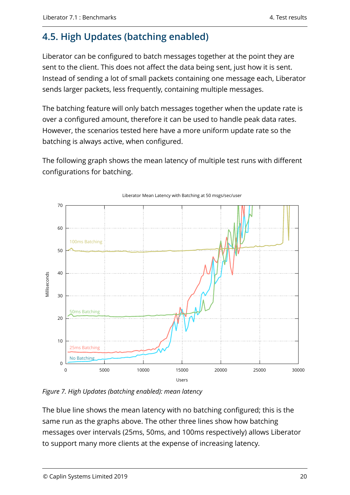# <span id="page-22-0"></span>**4.5. High Updates (batching enabled)**

Liberator can be configured to batch messages together at the point they are sent to the client. This does not affect the data being sent, just how it is sent. Instead of sending a lot of small packets containing one message each, Liberator sends larger packets, less frequently, containing multiple messages.

The batching feature will only batch messages together when the update rate is over a configured amount, therefore it can be used to handle peak data rates. However, the scenarios tested here have a more uniform update rate so the batching is always active, when configured.

The following graph shows the mean latency of multiple test runs with different configurations for batching.



Liberator Mean Latency with Batching at 50 msgs/sec/user

*Figure 7. High Updates (batching enabled): mean latency*

The blue line shows the mean latency with no batching configured; this is the same run as the graphs above. The other three lines show how batching messages over intervals (25ms, 50ms, and 100ms respectively) allows Liberator to support many more clients at the expense of increasing latency.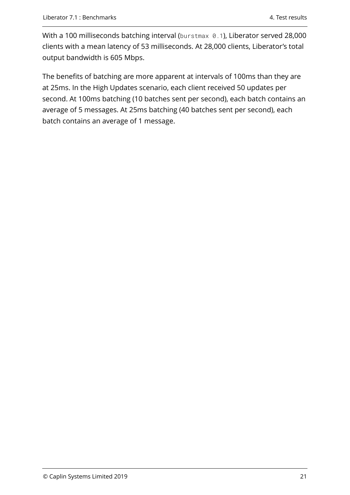With a 100 milliseconds batching interval (burstmax 0.1), Liberator served 28,000 clients with a mean latency of 53 milliseconds. At 28,000 clients, Liberator's total output bandwidth is 605 Mbps.

The benefits of batching are more apparent at intervals of 100ms than they are at 25ms. In the High Updates scenario, each client received 50 updates per second. At 100ms batching (10 batches sent per second), each batch contains an average of 5 messages. At 25ms batching (40 batches sent per second), each batch contains an average of 1 message.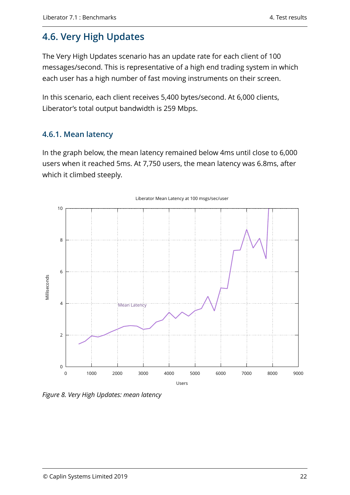# <span id="page-24-0"></span>**4.6. Very High Updates**

The Very High Updates scenario has an update rate for each client of 100 messages/second. This is representative of a high end trading system in which each user has a high number of fast moving instruments on their screen.

In this scenario, each client receives 5,400 bytes/second. At 6,000 clients, Liberator's total output bandwidth is 259 Mbps.

### **4.6.1. Mean latency**

In the graph below, the mean latency remained below 4ms until close to 6,000 users when it reached 5ms. At 7,750 users, the mean latency was 6.8ms, after which it climbed steeply.



*Figure 8. Very High Updates: mean latency*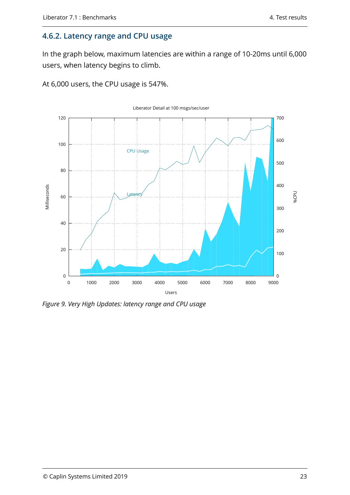#### **4.6.2. Latency range and CPU usage**

In the graph below, maximum latencies are within a range of 10-20ms until 6,000 users, when latency begins to climb.

At 6,000 users, the CPU usage is 547%.



*Figure 9. Very High Updates: latency range and CPU usage*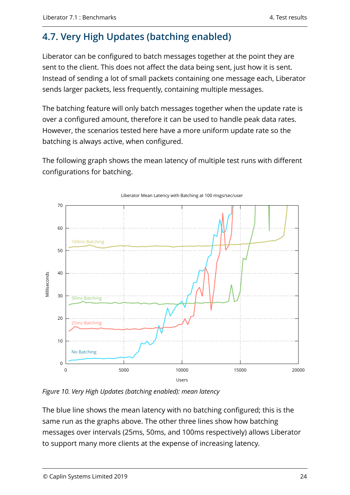# <span id="page-26-0"></span>**4.7. Very High Updates (batching enabled)**

Liberator can be configured to batch messages together at the point they are sent to the client. This does not affect the data being sent, just how it is sent. Instead of sending a lot of small packets containing one message each, Liberator sends larger packets, less frequently, containing multiple messages.

The batching feature will only batch messages together when the update rate is over a configured amount, therefore it can be used to handle peak data rates. However, the scenarios tested here have a more uniform update rate so the batching is always active, when configured.

The following graph shows the mean latency of multiple test runs with different configurations for batching.



Liberator Mean Latency with Batching at 100 msgs/sec/user

*Figure 10. Very High Updates (batching enabled): mean latency*

The blue line shows the mean latency with no batching configured; this is the same run as the graphs above. The other three lines show how batching messages over intervals (25ms, 50ms, and 100ms respectively) allows Liberator to support many more clients at the expense of increasing latency.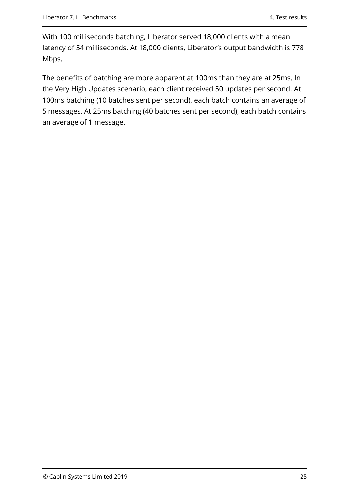With 100 milliseconds batching, Liberator served 18,000 clients with a mean latency of 54 milliseconds. At 18,000 clients, Liberator's output bandwidth is 778 Mbps.

The benefits of batching are more apparent at 100ms than they are at 25ms. In the Very High Updates scenario, each client received 50 updates per second. At 100ms batching (10 batches sent per second), each batch contains an average of 5 messages. At 25ms batching (40 batches sent per second), each batch contains an average of 1 message.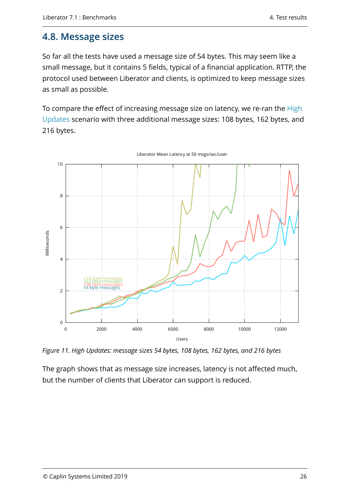### <span id="page-28-0"></span>**4.8. Message sizes**

So far all the tests have used a message size of 54 bytes. This may seem like a small message, but it contains 5 fields, typical of a financial application. RTTP, the protocol used between Liberator and clients, is optimized to keep message sizes as small as possible.

To compare the effect of increasing message size on latency, we re-ran the [High](#page-12-0) [Updates](#page-12-0) scenario with three additional message sizes: 108 bytes, 162 bytes, and 216 bytes.



Liberator Mean Latency at 50 msgs/sec/user

*Figure 11. High Updates: message sizes 54 bytes, 108 bytes, 162 bytes, and 216 bytes*

The graph shows that as message size increases, latency is not affected much, but the number of clients that Liberator can support is reduced.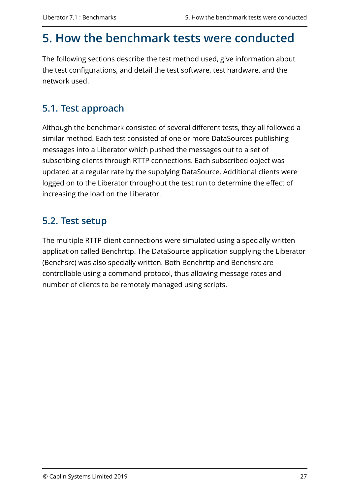# <span id="page-29-0"></span>**5. How the benchmark tests were conducted**

The following sections describe the test method used, give information about the test configurations, and detail the test software, test hardware, and the network used.

# <span id="page-29-1"></span>**5.1. Test approach**

Although the benchmark consisted of several different tests, they all followed a similar method. Each test consisted of one or more DataSources publishing messages into a Liberator which pushed the messages out to a set of subscribing clients through RTTP connections. Each subscribed object was updated at a regular rate by the supplying DataSource. Additional clients were logged on to the Liberator throughout the test run to determine the effect of increasing the load on the Liberator.

# <span id="page-29-2"></span>**5.2. Test setup**

The multiple RTTP client connections were simulated using a specially written application called Benchrttp. The DataSource application supplying the Liberator (Benchsrc) was also specially written. Both Benchrttp and Benchsrc are controllable using a command protocol, thus allowing message rates and number of clients to be remotely managed using scripts.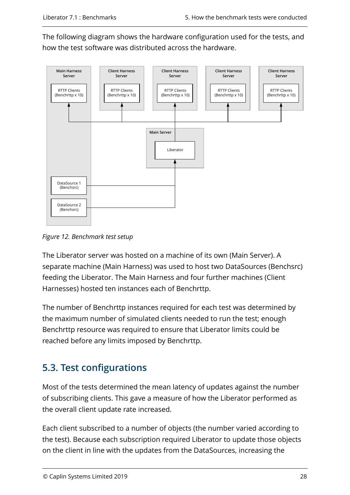The following diagram shows the hardware configuration used for the tests, and how the test software was distributed across the hardware.

<span id="page-30-1"></span>

*Figure 12. Benchmark test setup*

The Liberator server was hosted on a machine of its own (Main Server). A separate machine (Main Harness) was used to host two DataSources (Benchsrc) feeding the Liberator. The Main Harness and four further machines (Client Harnesses) hosted ten instances each of Benchrttp.

The number of Benchrttp instances required for each test was determined by the maximum number of simulated clients needed to run the test; enough Benchrttp resource was required to ensure that Liberator limits could be reached before any limits imposed by Benchrttp.

# <span id="page-30-0"></span>**5.3. Test configurations**

Most of the tests determined the mean latency of updates against the number of subscribing clients. This gave a measure of how the Liberator performed as the overall client update rate increased.

Each client subscribed to a number of objects (the number varied according to the test). Because each subscription required Liberator to update those objects on the client in line with the updates from the DataSources, increasing the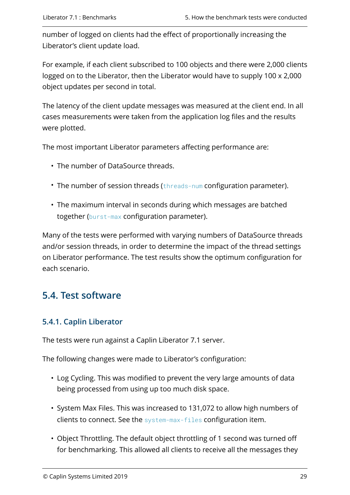number of logged on clients had the effect of proportionally increasing the Liberator's client update load.

For example, if each client subscribed to 100 objects and there were 2,000 clients logged on to the Liberator, then the Liberator would have to supply 100 x 2,000 object updates per second in total.

The latency of the client update messages was measured at the client end. In all cases measurements were taken from the application log files and the results were plotted.

The most important Liberator parameters affecting performance are:

- The number of DataSource threads.
- The number of session threads ([threads-num](https://www.caplin.com/developer/caplin-platform/liberator/liberator-tuning-configuration#threads-num) configuration parameter).
- The maximum interval in seconds during which messages are batched together ([burst-max](https://www.caplin.com/developer/caplin-platform/liberator/liberator-bursting-configuration#burst-max) configuration parameter).

Many of the tests were performed with varying numbers of DataSource threads and/or session threads, in order to determine the impact of the thread settings on Liberator performance. The test results show the optimum configuration for each scenario.

### <span id="page-31-0"></span>**5.4. Test software**

#### **5.4.1. Caplin Liberator**

The tests were run against a Caplin Liberator 7.1 server.

The following changes were made to Liberator's configuration:

- Log Cycling. This was modified to prevent the very large amounts of data being processed from using up too much disk space.
- System Max Files. This was increased to 131,072 to allow high numbers of clients to connect. See the [system-max-files](https://www.caplin.com/developer/caplin-platform/liberator/liberator-tuning-configuration#system-max-files) configuration item.
- Object Throttling. The default object throttling of 1 second was turned off for benchmarking. This allowed all clients to receive all the messages they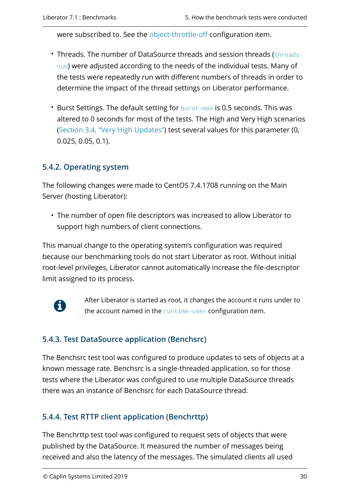were subscribed to. See the [object-throttle-off](https://www.caplin.com/developer/caplin-platform/liberator/liberator-throttling-configuration#object-throttle-off) configuration item.

- Threads. The number of DataSource threads and session threads ([threads](https://www.caplin.com/developer/caplin-platform/liberator/liberator-tuning-configuration#threads-num)[num](https://www.caplin.com/developer/caplin-platform/liberator/liberator-tuning-configuration#threads-num)) were adjusted according to the needs of the individual tests. Many of the tests were repeatedly run with different numbers of threads in order to determine the impact of the thread settings on Liberator performance.
- Burst Settings. The default setting for [burst-max](https://www.caplin.com/developer/caplin-platform/liberator/liberator-bursting-configuration#burst-max) is 0.5 seconds. This was altered to 0 seconds for most of the tests. The High and Very High scenarios ([Section 3.4, "Very High Updates"](#page-13-0)) test several values for this parameter (0, 0.025, 0.05, 0.1).

### **5.4.2. Operating system**

The following changes were made to CentOS 7.4.1708 running on the Main Server (hosting Liberator):

• The number of open file descriptors was increased to allow Liberator to support high numbers of client connections.

This manual change to the operating system's configuration was required because our benchmarking tools do not start Liberator as root. Without initial root-level privileges, Liberator cannot automatically increase the file-descriptor limit assigned to its process.



After Liberator is started as root, it changes the account it runs under to the account named in the [runtime-user](https://www.caplin.com/developer/caplin-platform/datasource/datasource-run-time-environment-configuration#runtime-user) configuration item.

### **5.4.3. Test DataSource application (Benchsrc)**

The Benchsrc test tool was configured to produce updates to sets of objects at a known message rate. Benchsrc is a single-threaded application, so for those tests where the Liberator was configured to use multiple DataSource threads there was an instance of Benchsrc for each DataSource thread.

### **5.4.4. Test RTTP client application (Benchrttp)**

The Benchrttp test tool was configured to request sets of objects that were published by the DataSource. It measured the number of messages being received and also the latency of the messages. The simulated clients all used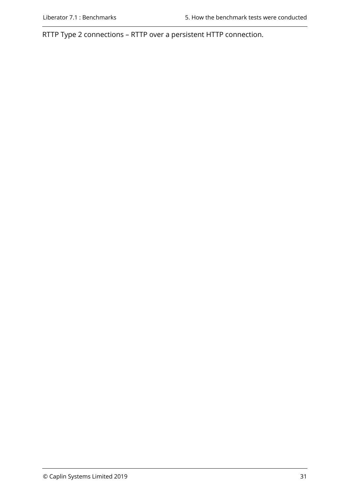RTTP Type 2 connections – RTTP over a persistent HTTP connection.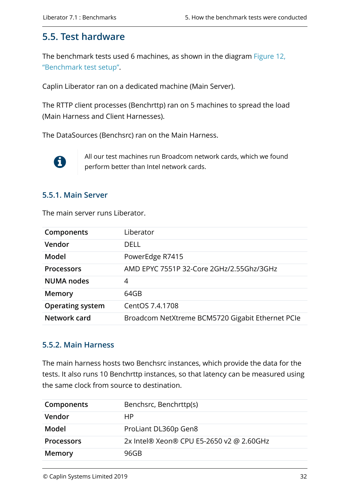### <span id="page-34-0"></span>**5.5. Test hardware**

The benchmark tests used 6 machines, as shown in the diagram [Figure 12,](#page-30-1) ["Benchmark test setup".](#page-30-1)

Caplin Liberator ran on a dedicated machine (Main Server).

The RTTP client processes (Benchrttp) ran on 5 machines to spread the load (Main Harness and Client Harnesses).

The DataSources (Benchsrc) ran on the Main Harness.



All our test machines run Broadcom network cards, which we found perform better than Intel network cards.

#### **5.5.1. Main Server**

The main server runs Liberator.

| Components              | Liberator                                        |
|-------------------------|--------------------------------------------------|
| Vendor                  | DELL                                             |
| Model                   | PowerEdge R7415                                  |
| <b>Processors</b>       | AMD EPYC 7551P 32-Core 2GHz/2.55Ghz/3GHz         |
| <b>NUMA nodes</b>       | 4                                                |
| <b>Memory</b>           | 64GB                                             |
| <b>Operating system</b> | CentOS 7.4.1708                                  |
| Network card            | Broadcom NetXtreme BCM5720 Gigabit Ethernet PCIe |

#### **5.5.2. Main Harness**

The main harness hosts two Benchsrc instances, which provide the data for the tests. It also runs 10 Benchrttp instances, so that latency can be measured using the same clock from source to destination.

| Components        | Benchsrc, Benchrttp(s)                   |
|-------------------|------------------------------------------|
| Vendor            | НP                                       |
| Model             | ProLiant DL360p Gen8                     |
| <b>Processors</b> | 2x Intel® Xeon® CPU E5-2650 v2 @ 2.60GHz |
| <b>Memory</b>     | 96GB                                     |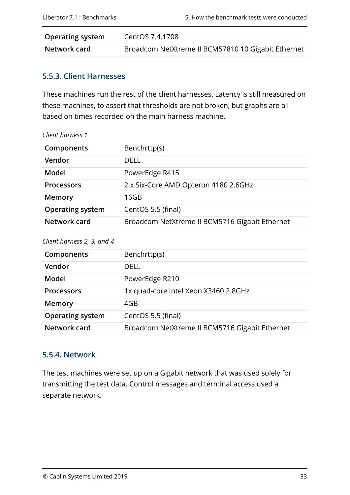| <b>Operating system</b> | CentOS 7.4.1708                                    |
|-------------------------|----------------------------------------------------|
| Network card            | Broadcom NetXtreme II BCM57810 10 Gigabit Ethernet |

### **5.5.3. Client Harnesses**

These machines run the rest of the client harnesses. Latency is still measured on these machines, to assert that thresholds are not broken, but graphs are all based on times recorded on the main harness machine.

| Client harness 1        |                                                |
|-------------------------|------------------------------------------------|
| Components              | Benchrttp(s)                                   |
| Vendor                  | DELL                                           |
| Model                   | PowerEdge R415                                 |
| <b>Processors</b>       | 2 x Six-Core AMD Opteron 4180 2.6GHz           |
| <b>Memory</b>           | 16GB                                           |
| <b>Operating system</b> | CentOS 5.5 (final)                             |
| Network card            | Broadcom NetXtreme II BCM5716 Gigabit Ethernet |

#### *Client harness 2, 3, and 4*

| Components              | Benchrttp(s)                                   |
|-------------------------|------------------------------------------------|
| Vendor                  | DELL                                           |
| Model                   | PowerEdge R210                                 |
| <b>Processors</b>       | 1x quad-core Intel Xeon X3460 2.8GHz           |
| Memory                  | 4GB                                            |
| <b>Operating system</b> | CentOS 5.5 (final)                             |
| Network card            | Broadcom NetXtreme II BCM5716 Gigabit Ethernet |

#### **5.5.4. Network**

The test machines were set up on a Gigabit network that was used solely for transmitting the test data. Control messages and terminal access used a separate network.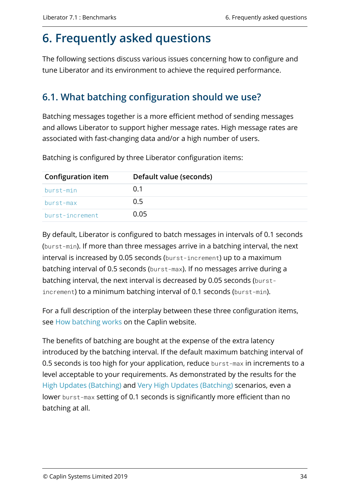# <span id="page-36-0"></span>**6. Frequently asked questions**

The following sections discuss various issues concerning how to configure and tune Liberator and its environment to achieve the required performance.

# <span id="page-36-1"></span>**6.1. What batching configuration should we use?**

Batching messages together is a more efficient method of sending messages and allows Liberator to support higher message rates. High message rates are associated with fast-changing data and/or a high number of users.

| <b>Configuration item</b> | Default value (seconds) |
|---------------------------|-------------------------|
| burst-min                 | O 1                     |
| burst-max                 | 0.5                     |
| burst-increment           | 0.05                    |

Batching is configured by three Liberator configuration items:

By default, Liberator is configured to batch messages in intervals of 0.1 seconds (burst-min). If more than three messages arrive in a batching interval, the next interval is increased by 0.05 seconds (burst-increment) up to a maximum batching interval of 0.5 seconds (burst-max). If no messages arrive during a batching interval, the next interval is decreased by 0.05 seconds (burstincrement) to a minimum batching interval of 0.1 seconds (burst-min).

For a full description of the interplay between these three configuration items, see [How batching works](https://www.caplin.com/developer/caplin-platform/liberator/liberator-bursting-configuration#how-bursting-works) on the Caplin website.

The benefits of batching are bought at the expense of the extra latency introduced by the batching interval. If the default maximum batching interval of 0.5 seconds is too high for your application, reduce burst-max in increments to a level acceptable to your requirements. As demonstrated by the results for the [High Updates \(Batching\)](#page-22-0) and [Very High Updates \(Batching\)](#page-26-0) scenarios, even a lower burst-max setting of 0.1 seconds is significantly more efficient than no batching at all.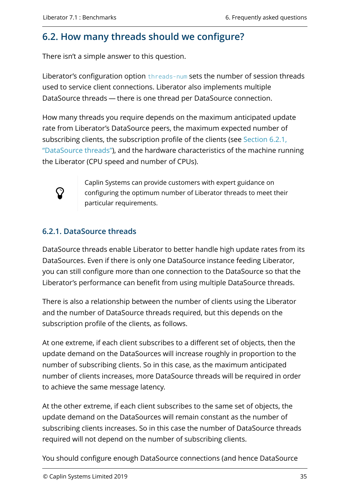### <span id="page-37-0"></span>**6.2. How many threads should we configure?**

There isn't a simple answer to this question.

Liberator's configuration option [threads-num](https://www.caplin.com/developer/caplin-platform/liberator/liberator-tuning-configuration#threads-num) sets the number of session threads used to service client connections. Liberator also implements multiple DataSource threads — there is one thread per DataSource connection.

How many threads you require depends on the maximum anticipated update rate from Liberator's DataSource peers, the maximum expected number of subscribing clients, the subscription profile of the clients (see [Section 6.2.1,](#page-37-1) ["DataSource threads"\)](#page-37-1), and the hardware characteristics of the machine running the Liberator (CPU speed and number of CPUs).



Caplin Systems can provide customers with expert guidance on configuring the optimum number of Liberator threads to meet their particular requirements.

### <span id="page-37-1"></span>**6.2.1. DataSource threads**

DataSource threads enable Liberator to better handle high update rates from its DataSources. Even if there is only one DataSource instance feeding Liberator, you can still configure more than one connection to the DataSource so that the Liberator's performance can benefit from using multiple DataSource threads.

There is also a relationship between the number of clients using the Liberator and the number of DataSource threads required, but this depends on the subscription profile of the clients, as follows.

At one extreme, if each client subscribes to a different set of objects, then the update demand on the DataSources will increase roughly in proportion to the number of subscribing clients. So in this case, as the maximum anticipated number of clients increases, more DataSource threads will be required in order to achieve the same message latency.

At the other extreme, if each client subscribes to the same set of objects, the update demand on the DataSources will remain constant as the number of subscribing clients increases. So in this case the number of DataSource threads required will not depend on the number of subscribing clients.

You should configure enough DataSource connections (and hence DataSource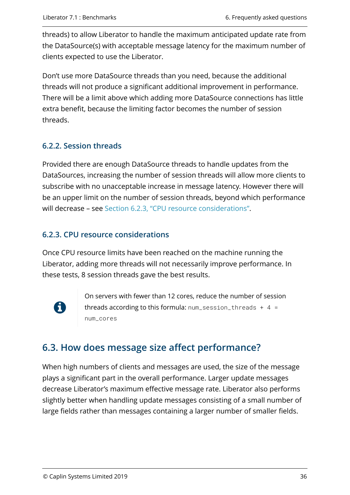threads) to allow Liberator to handle the maximum anticipated update rate from the DataSource(s) with acceptable message latency for the maximum number of clients expected to use the Liberator.

Don't use more DataSource threads than you need, because the additional threads will not produce a significant additional improvement in performance. There will be a limit above which adding more DataSource connections has little extra benefit, because the limiting factor becomes the number of session threads.

### **6.2.2. Session threads**

Provided there are enough DataSource threads to handle updates from the DataSources, increasing the number of session threads will allow more clients to subscribe with no unacceptable increase in message latency. However there will be an upper limit on the number of session threads, beyond which performance will decrease – see [Section 6.2.3, "CPU resource considerations"](#page-38-1).

#### <span id="page-38-1"></span>**6.2.3. CPU resource considerations**

Once CPU resource limits have been reached on the machine running the Liberator, adding more threads will not necessarily improve performance. In these tests, 8 session threads gave the best results.



On servers with fewer than 12 cores, reduce the number of session threads according to this formula:  $num\_session\_threads + 4 =$ num\_cores

# <span id="page-38-0"></span>**6.3. How does message size affect performance?**

When high numbers of clients and messages are used, the size of the message plays a significant part in the overall performance. Larger update messages decrease Liberator's maximum effective message rate. Liberator also performs slightly better when handling update messages consisting of a small number of large fields rather than messages containing a larger number of smaller fields.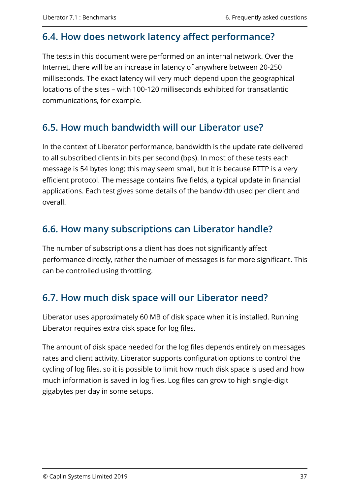### <span id="page-39-0"></span>**6.4. How does network latency affect performance?**

The tests in this document were performed on an internal network. Over the Internet, there will be an increase in latency of anywhere between 20-250 milliseconds. The exact latency will very much depend upon the geographical locations of the sites – with 100-120 milliseconds exhibited for transatlantic communications, for example.

### <span id="page-39-1"></span>**6.5. How much bandwidth will our Liberator use?**

In the context of Liberator performance, bandwidth is the update rate delivered to all subscribed clients in bits per second (bps). In most of these tests each message is 54 bytes long; this may seem small, but it is because RTTP is a very efficient protocol. The message contains five fields, a typical update in financial applications. Each test gives some details of the bandwidth used per client and overall.

### <span id="page-39-2"></span>**6.6. How many subscriptions can Liberator handle?**

The number of subscriptions a client has does not significantly affect performance directly, rather the number of messages is far more significant. This can be controlled using throttling.

### <span id="page-39-3"></span>**6.7. How much disk space will our Liberator need?**

Liberator uses approximately 60 MB of disk space when it is installed. Running Liberator requires extra disk space for log files.

The amount of disk space needed for the log files depends entirely on messages rates and client activity. Liberator supports configuration options to control the cycling of log files, so it is possible to limit how much disk space is used and how much information is saved in log files. Log files can grow to high single-digit gigabytes per day in some setups.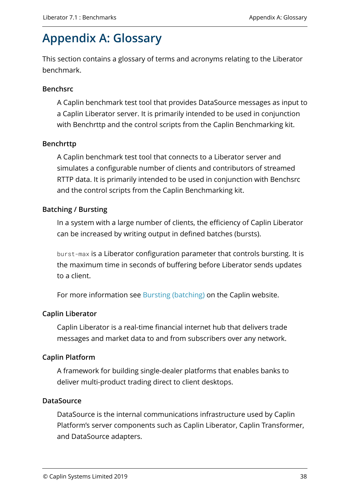# <span id="page-40-0"></span>**Appendix A: Glossary**

This section contains a glossary of terms and acronyms relating to the Liberator benchmark.

#### **Benchsrc**

A Caplin benchmark test tool that provides DataSource messages as input to a Caplin Liberator server. It is primarily intended to be used in conjunction with Benchrttp and the control scripts from the Caplin Benchmarking kit.

#### **Benchrttp**

A Caplin benchmark test tool that connects to a Liberator server and simulates a configurable number of clients and contributors of streamed RTTP data. It is primarily intended to be used in conjunction with Benchsrc and the control scripts from the Caplin Benchmarking kit.

#### **Batching / Bursting**

In a system with a large number of clients, the efficiency of Caplin Liberator can be increased by writing output in defined batches (bursts).

burst-max is a Liberator configuration parameter that controls bursting. It is the maximum time in seconds of buffering before Liberator sends updates to a client.

For more information see [Bursting \(batching\)](https://www.caplin.com/developer/caplin-platform/liberator/liberator-bursting) on the Caplin website.

#### **Caplin Liberator**

Caplin Liberator is a real-time financial internet hub that delivers trade messages and market data to and from subscribers over any network.

#### **Caplin Platform**

A framework for building single-dealer platforms that enables banks to deliver multi-product trading direct to client desktops.

#### **DataSource**

DataSource is the internal communications infrastructure used by Caplin Platform's server components such as Caplin Liberator, Caplin Transformer, and DataSource adapters.